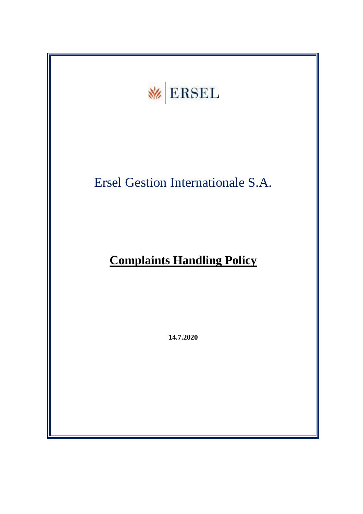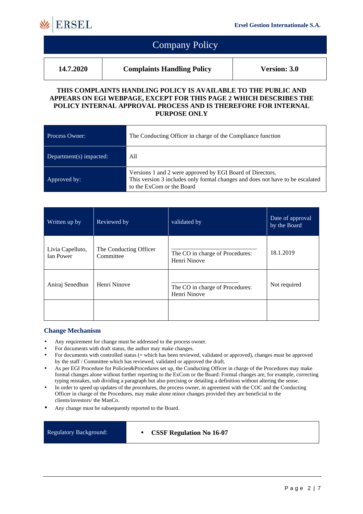

|           | <b>Company Policy</b>             |                     |
|-----------|-----------------------------------|---------------------|
| 14.7.2020 | <b>Complaints Handling Policy</b> | <b>Version: 3.0</b> |

#### **THIS COMPLAINTS HANDLING POLICY IS AVAILABLE TO THE PUBLIC AND APPEARS ON EGI WEBPAGE, EXCEPT FOR THIS PAGE 2 WHICH DESCRIBES THE POLICY INTERNAL APPROVAL PROCESS AND IS THEREFORE FOR INTERNAL PURPOSE ONLY**

| Process Owner:          | The Conducting Officer in charge of the Compliance function                                                                                                             |
|-------------------------|-------------------------------------------------------------------------------------------------------------------------------------------------------------------------|
| Department(s) impacted: | All                                                                                                                                                                     |
| Approved by:            | Versions 1 and 2 were approved by EGI Board of Directors.<br>This version 3 includes only formal changes and does not have to be escalated<br>to the ExCom or the Board |

| Written up by                        | Reviewed by                         | validated by                                    | Date of approval<br>by the Board |
|--------------------------------------|-------------------------------------|-------------------------------------------------|----------------------------------|
| Livia Capelluto,<br><b>Ian Power</b> | The Conducting Officer<br>Committee | The CO in charge of Procedures:<br>Henri Ninove | 18.1.2019                        |
| Aniraj Senedhun                      | Henri Ninove                        | The CO in charge of Procedures:<br>Henri Ninove | Not required                     |
|                                      |                                     |                                                 |                                  |

### **Change Mechanism**

- Any requirement for change must be addressed to the process owner.
- For documents with draft status, the author may make changes.
- For documents with controlled status (= which has been reviewed, validated or approved), changes must be approved by the staff / Committee which has reviewed, validated or approved the draft.
- As per EGI Procedure for Policies&Procedures set up, the Conducting Officer in charge of the Procedures may make formal changes alone without further reporting to the ExCom or the Board: Formal changes are, for example, correcting typing mistakes, sub dividing a paragraph but also precising or detailing a definition without altering the sense.
- In order to speed up updates of the procedures, the process owner, in agreement with the COC and the Conducting Officer in charge of the Procedures, may make alone minor changes provided they are beneficial to the clients/investors/ the ManCo.
- Any change must be subsequently reported to the Board.

Regulatory Background: • **CSSF Regulation No 16-07**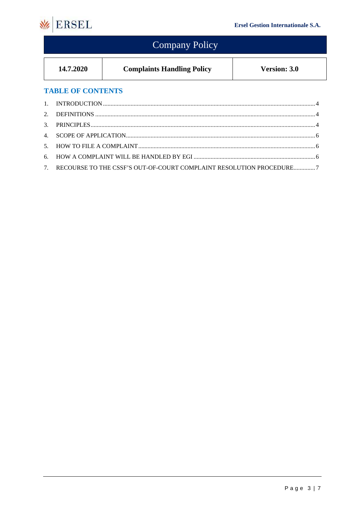

#### **Company Policy** 14.7.2020 **Complaints Handling Policy Version: 3.0 TABLE OF CONTENTS**  $\overline{1}$ . 2.  $\mathcal{R}$  $4.$  $5<sub>1</sub>$ 6. RECOURSE TO THE CSSF'S OUT-OF-COURT COMPLAINT RESOLUTION PROCEDURE..............7 7.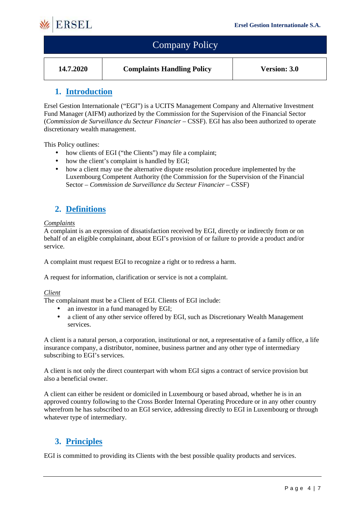

| <b>Company Policy</b> |                                   |                     |
|-----------------------|-----------------------------------|---------------------|
| 14.7.2020             | <b>Complaints Handling Policy</b> | <b>Version: 3.0</b> |

## **1. Introduction**

Ersel Gestion Internationale ("EGI") is a UCITS Management Company and Alternative Investment Fund Manager (AIFM) authorized by the Commission for the Supervision of the Financial Sector (*Commission de Surveillance du Secteur Financier* – CSSF). EGI has also been authorized to operate discretionary wealth management.

This Policy outlines:

- how clients of EGI ("the Clients") may file a complaint;
- how the client's complaint is handled by EGI;
- how a client may use the alternative dispute resolution procedure implemented by the Luxembourg Competent Authority (the Commission for the Supervision of the Financial Sector – *Commission de Surveillance du Secteur Financier* – CSSF)

## **2. Definitions**

#### *Complaints*

A complaint is an expression of dissatisfaction received by EGI, directly or indirectly from or on behalf of an eligible complainant, about EGI's provision of or failure to provide a product and/or service.

A complaint must request EGI to recognize a right or to redress a harm.

A request for information, clarification or service is not a complaint.

#### *Client*

The complainant must be a Client of EGI. Clients of EGI include:

- an investor in a fund managed by EGI;
- a client of any other service offered by EGI, such as Discretionary Wealth Management services.

A client is a natural person, a corporation, institutional or not, a representative of a family office, a life insurance company, a distributor, nominee, business partner and any other type of intermediary subscribing to EGI's services.

A client is not only the direct counterpart with whom EGI signs a contract of service provision but also a beneficial owner.

A client can either be resident or domiciled in Luxembourg or based abroad, whether he is in an approved country following to the Cross Border Internal Operating Procedure or in any other country wherefrom he has subscribed to an EGI service, addressing directly to EGI in Luxembourg or through whatever type of intermediary.

## **3. Principles**

EGI is committed to providing its Clients with the best possible quality products and services.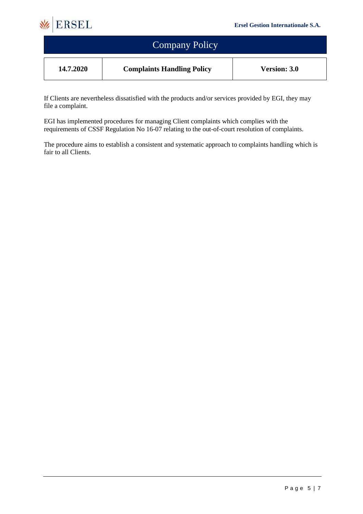

| <b>Company Policy</b> |                                   |                     |
|-----------------------|-----------------------------------|---------------------|
| 14.7.2020             | <b>Complaints Handling Policy</b> | <b>Version: 3.0</b> |

If Clients are nevertheless dissatisfied with the products and/or services provided by EGI, they may file a complaint.

EGI has implemented procedures for managing Client complaints which complies with the requirements of CSSF Regulation No 16-07 relating to the out-of-court resolution of complaints.

The procedure aims to establish a consistent and systematic approach to complaints handling which is fair to all Clients.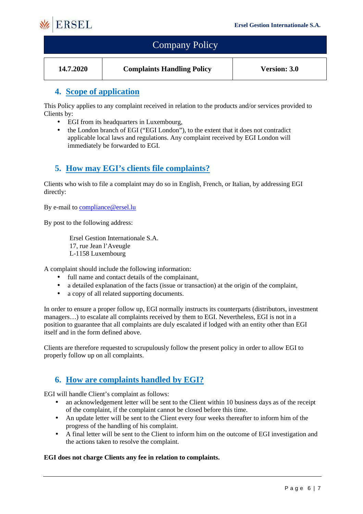

| <b>Company Policy</b> |                                   |                     |
|-----------------------|-----------------------------------|---------------------|
| 14.7.2020             | <b>Complaints Handling Policy</b> | <b>Version: 3.0</b> |

## **4. Scope of application**

This Policy applies to any complaint received in relation to the products and/or services provided to Clients by:

- EGI from its headquarters in Luxembourg,
- the London branch of EGI ("EGI London"), to the extent that it does not contradict applicable local laws and regulations. Any complaint received by EGI London will immediately be forwarded to EGI.

## **5. How may EGI's clients file complaints?**

Clients who wish to file a complaint may do so in English, French, or Italian, by addressing EGI directly:

By e-mail to compliance@ersel.lu

By post to the following address:

Ersel Gestion Internationale S.A. 17, rue Jean l'Aveugle L-1158 Luxembourg

A complaint should include the following information:

- full name and contact details of the complainant,
- a detailed explanation of the facts (issue or transaction) at the origin of the complaint,
- a copy of all related supporting documents.

In order to ensure a proper follow up, EGI normally instructs its counterparts (distributors, investment managers…) to escalate all complaints received by them to EGI. Nevertheless, EGI is not in a position to guarantee that all complaints are duly escalated if lodged with an entity other than EGI itself and in the form defined above.

Clients are therefore requested to scrupulously follow the present policy in order to allow EGI to properly follow up on all complaints.

## **6. How are complaints handled by EGI?**

EGI will handle Client's complaint as follows:

- an acknowledgement letter will be sent to the Client within 10 business days as of the receipt of the complaint, if the complaint cannot be closed before this time.
- An update letter will be sent to the Client every four weeks thereafter to inform him of the progress of the handling of his complaint.
- A final letter will be sent to the Client to inform him on the outcome of EGI investigation and the actions taken to resolve the complaint.

#### **EGI does not charge Clients any fee in relation to complaints.**